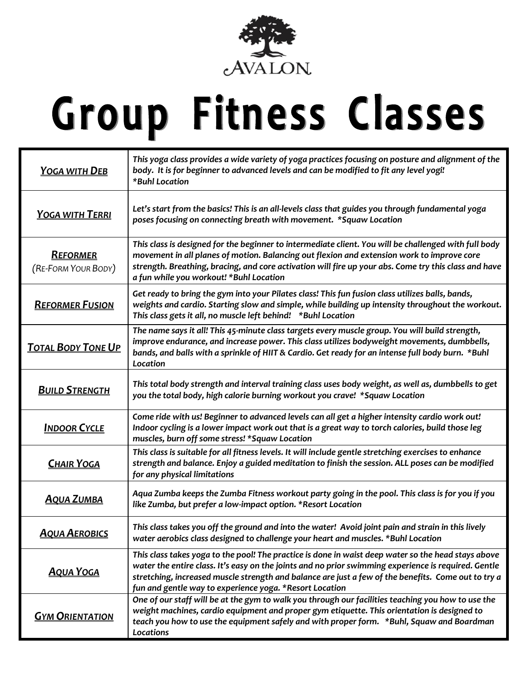

## Group Fitness Classes

| <b>YOGA WITH DEB</b>                   | This yoga class provides a wide variety of yoga practices focusing on posture and alignment of the<br>body. It is for beginner to advanced levels and can be modified to fit any level yogi!<br>*Buhl Location                                                                                                                                                                |
|----------------------------------------|-------------------------------------------------------------------------------------------------------------------------------------------------------------------------------------------------------------------------------------------------------------------------------------------------------------------------------------------------------------------------------|
| <u>YOGA WITH TERRI</u>                 | Let's start from the basics! This is an all-levels class that guides you through fundamental yoga<br>poses focusing on connecting breath with movement. *Squaw Location                                                                                                                                                                                                       |
| <b>REFORMER</b><br>(RE-FORM YOUR BODY) | This class is designed for the beginner to intermediate client. You will be challenged with full body<br>movement in all planes of motion. Balancing out flexion and extension work to improve core<br>strength. Breathing, bracing, and core activation will fire up your abs. Come try this class and have<br>a fun while you workout! *Buhl Location                       |
| <b>REFORMER FUSION</b>                 | Get ready to bring the gym into your Pilates class! This fun fusion class utilizes balls, bands,<br>weights and cardio. Starting slow and simple, while building up intensity throughout the workout.<br>This class gets it all, no muscle left behind! *Buhl Location                                                                                                        |
| <b>TOTAL BODY TONE UP</b>              | The name says it all! This 45-minute class targets every muscle group. You will build strength,<br>improve endurance, and increase power. This class utilizes bodyweight movements, dumbbells,<br>bands, and balls with a sprinkle of HIIT & Cardio. Get ready for an intense full body burn. *Buhl<br>Location                                                               |
| <b>BUILD STRENGTH</b>                  | This total body strength and interval training class uses body weight, as well as, dumbbells to get<br>you the total body, high calorie burning workout you crave! *Squaw Location                                                                                                                                                                                            |
| <b>INDOOR CYCLE</b>                    | Come ride with us! Beginner to advanced levels can all get a higher intensity cardio work out!<br>Indoor cycling is a lower impact work out that is a great way to torch calories, build those leg<br>muscles, burn off some stress! *Squaw Location                                                                                                                          |
| <b>CHAIR YOGA</b>                      | This class is suitable for all fitness levels. It will include gentle stretching exercises to enhance<br>strength and balance. Enjoy a guided meditation to finish the session. ALL poses can be modified<br>for any physical limitations                                                                                                                                     |
| <b>AQUA ZUMBA</b>                      | Aqua Zumba keeps the Zumba Fitness workout party going in the pool. This class is for you if you<br>like Zumba, but prefer a low-impact option. *Resort Location                                                                                                                                                                                                              |
| <b>AQUA AEROBICS</b>                   | This class takes you off the ground and into the water! Avoid joint pain and strain in this lively<br>water aerobics class designed to challenge your heart and muscles. *Buhl Location                                                                                                                                                                                       |
| <b>AQUA YOGA</b>                       | This class takes yoga to the pool! The practice is done in waist deep water so the head stays above<br>water the entire class. It's easy on the joints and no prior swimming experience is required. Gentle<br>stretching, increased muscle strength and balance are just a few of the benefits. Come out to try a<br>fun and gentle way to experience yoga. *Resort Location |
| <b>GYM ORIENTATION</b>                 | One of our staff will be at the gym to walk you through our facilities teaching you how to use the<br>weight machines, cardio equipment and proper gym etiquette. This orientation is designed to<br>teach you how to use the equipment safely and with proper form. *Buhl, Squaw and Boardman<br>Locations                                                                   |